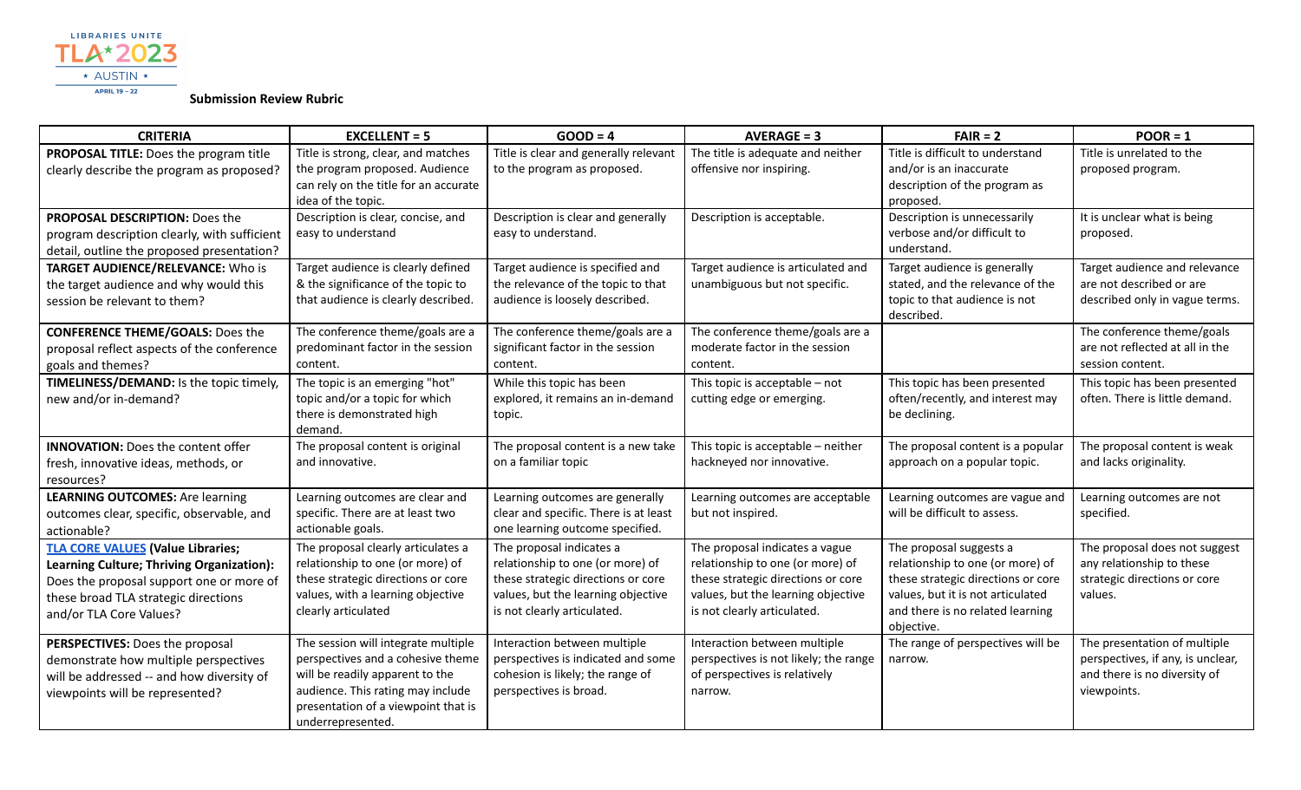

**Submission Review Rubric**

| <b>CRITERIA</b>                                                                                                                                                                                      | $EXCELLENT = 5$                                                                                                                                                                                              | $GOOD = 4$                                                                                                                                                              | $AVERAGE = 3$                                                                                                                                                                 | $FAIR = 2$                                                                                                                                                                               | $POOR = 1$                                                                                                       |
|------------------------------------------------------------------------------------------------------------------------------------------------------------------------------------------------------|--------------------------------------------------------------------------------------------------------------------------------------------------------------------------------------------------------------|-------------------------------------------------------------------------------------------------------------------------------------------------------------------------|-------------------------------------------------------------------------------------------------------------------------------------------------------------------------------|------------------------------------------------------------------------------------------------------------------------------------------------------------------------------------------|------------------------------------------------------------------------------------------------------------------|
| PROPOSAL TITLE: Does the program title<br>clearly describe the program as proposed?                                                                                                                  | Title is strong, clear, and matches<br>the program proposed. Audience<br>can rely on the title for an accurate<br>idea of the topic.                                                                         | Title is clear and generally relevant<br>to the program as proposed.                                                                                                    | The title is adequate and neither<br>offensive nor inspiring.                                                                                                                 | Title is difficult to understand<br>and/or is an inaccurate<br>description of the program as<br>proposed.                                                                                | Title is unrelated to the<br>proposed program.                                                                   |
| <b>PROPOSAL DESCRIPTION: Does the</b><br>program description clearly, with sufficient<br>detail, outline the proposed presentation?                                                                  | Description is clear, concise, and<br>easy to understand                                                                                                                                                     | Description is clear and generally<br>easy to understand.                                                                                                               | Description is acceptable.                                                                                                                                                    | Description is unnecessarily<br>verbose and/or difficult to<br>understand.                                                                                                               | It is unclear what is being<br>proposed.                                                                         |
| <b>TARGET AUDIENCE/RELEVANCE:</b> Who is<br>the target audience and why would this<br>session be relevant to them?                                                                                   | Target audience is clearly defined<br>& the significance of the topic to<br>that audience is clearly described.                                                                                              | Target audience is specified and<br>the relevance of the topic to that<br>audience is loosely described.                                                                | Target audience is articulated and<br>unambiguous but not specific.                                                                                                           | Target audience is generally<br>stated, and the relevance of the<br>topic to that audience is not<br>described.                                                                          | Target audience and relevance<br>are not described or are<br>described only in vague terms.                      |
| <b>CONFERENCE THEME/GOALS: Does the</b><br>proposal reflect aspects of the conference<br>goals and themes?                                                                                           | The conference theme/goals are a<br>predominant factor in the session<br>content.                                                                                                                            | The conference theme/goals are a<br>significant factor in the session<br>content.                                                                                       | The conference theme/goals are a<br>moderate factor in the session<br>content.                                                                                                |                                                                                                                                                                                          | The conference theme/goals<br>are not reflected at all in the<br>session content.                                |
| TIMELINESS/DEMAND: Is the topic timely,<br>new and/or in-demand?                                                                                                                                     | The topic is an emerging "hot"<br>topic and/or a topic for which<br>there is demonstrated high<br>demand.                                                                                                    | While this topic has been<br>explored, it remains an in-demand<br>topic.                                                                                                | This topic is acceptable $-$ not<br>cutting edge or emerging.                                                                                                                 | This topic has been presented<br>often/recently, and interest may<br>be declining.                                                                                                       | This topic has been presented<br>often. There is little demand.                                                  |
| <b>INNOVATION:</b> Does the content offer<br>fresh, innovative ideas, methods, or<br>resources?                                                                                                      | The proposal content is original<br>and innovative.                                                                                                                                                          | The proposal content is a new take<br>on a familiar topic                                                                                                               | This topic is acceptable - neither<br>hackneyed nor innovative.                                                                                                               | The proposal content is a popular<br>approach on a popular topic.                                                                                                                        | The proposal content is weak<br>and lacks originality.                                                           |
| <b>LEARNING OUTCOMES:</b> Are learning<br>outcomes clear, specific, observable, and<br>actionable?                                                                                                   | Learning outcomes are clear and<br>specific. There are at least two<br>actionable goals.                                                                                                                     | Learning outcomes are generally<br>clear and specific. There is at least<br>one learning outcome specified.                                                             | Learning outcomes are acceptable<br>but not inspired.                                                                                                                         | Learning outcomes are vague and<br>will be difficult to assess.                                                                                                                          | Learning outcomes are not<br>specified.                                                                          |
| <b>TLA CORE VALUES (Value Libraries;</b><br>Learning Culture; Thriving Organization):<br>Does the proposal support one or more of<br>these broad TLA strategic directions<br>and/or TLA Core Values? | The proposal clearly articulates a<br>relationship to one (or more) of<br>these strategic directions or core<br>values, with a learning objective<br>clearly articulated                                     | The proposal indicates a<br>relationship to one (or more) of<br>these strategic directions or core<br>values, but the learning objective<br>is not clearly articulated. | The proposal indicates a vague<br>relationship to one (or more) of<br>these strategic directions or core<br>values, but the learning objective<br>is not clearly articulated. | The proposal suggests a<br>relationship to one (or more) of<br>these strategic directions or core<br>values, but it is not articulated<br>and there is no related learning<br>objective. | The proposal does not suggest<br>any relationship to these<br>strategic directions or core<br>values.            |
| PERSPECTIVES: Does the proposal<br>demonstrate how multiple perspectives<br>will be addressed -- and how diversity of<br>viewpoints will be represented?                                             | The session will integrate multiple<br>perspectives and a cohesive theme<br>will be readily apparent to the<br>audience. This rating may include<br>presentation of a viewpoint that is<br>underrepresented. | Interaction between multiple<br>perspectives is indicated and some<br>cohesion is likely; the range of<br>perspectives is broad.                                        | Interaction between multiple<br>perspectives is not likely; the range<br>of perspectives is relatively<br>narrow.                                                             | The range of perspectives will be<br>narrow.                                                                                                                                             | The presentation of multiple<br>perspectives, if any, is unclear,<br>and there is no diversity of<br>viewpoints. |